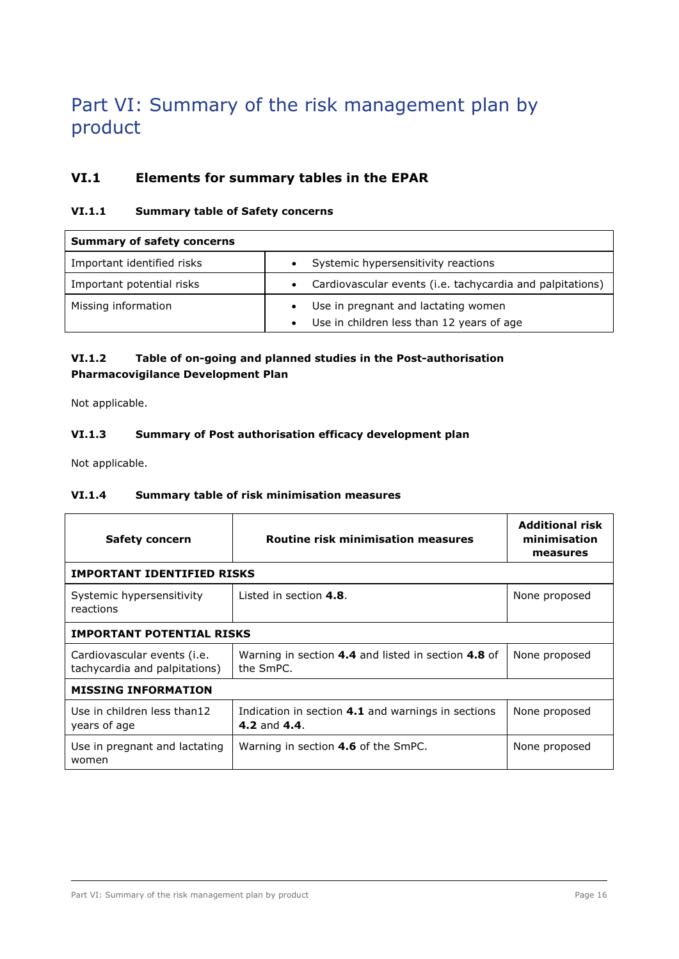# Part VI: Summary of the risk management plan by product

# **VI.1 Elements for summary tables in the EPAR**

## **VI.1.1 Summary table of Safety concerns**

| <b>Summary of safety concerns</b> |                                                                        |  |
|-----------------------------------|------------------------------------------------------------------------|--|
| Important identified risks        | Systemic hypersensitivity reactions                                    |  |
| Important potential risks         | Cardiovascular events (i.e. tachycardia and palpitations)<br>$\bullet$ |  |
| Missing information               | Use in pregnant and lactating women                                    |  |
|                                   | Use in children less than 12 years of age                              |  |

# **VI.1.2 Table of on-going and planned studies in the Post-authorisation Pharmacovigilance Development Plan**

Not applicable.

# **VI.1.3 Summary of Post authorisation efficacy development plan**

Not applicable.

## **VI.1.4 Summary table of risk minimisation measures**

| Safety concern                                               | <b>Routine risk minimisation measures</b>                          | <b>Additional risk</b><br>minimisation<br>measures |  |  |
|--------------------------------------------------------------|--------------------------------------------------------------------|----------------------------------------------------|--|--|
| <b>IMPORTANT IDENTIFIED RISKS</b>                            |                                                                    |                                                    |  |  |
| Systemic hypersensitivity<br>reactions                       | Listed in section 4.8.                                             | None proposed                                      |  |  |
| <b>IMPORTANT POTENTIAL RISKS</b>                             |                                                                    |                                                    |  |  |
| Cardiovascular events (i.e.<br>tachycardia and palpitations) | Warning in section 4.4 and listed in section 4.8 of<br>the SmPC.   | None proposed                                      |  |  |
| <b>MISSING INFORMATION</b>                                   |                                                                    |                                                    |  |  |
| Use in children less than12<br>years of age                  | Indication in section 4.1 and warnings in sections<br>4.2 and 4.4. | None proposed                                      |  |  |
| Use in pregnant and lactating<br>women                       | Warning in section 4.6 of the SmPC.                                | None proposed                                      |  |  |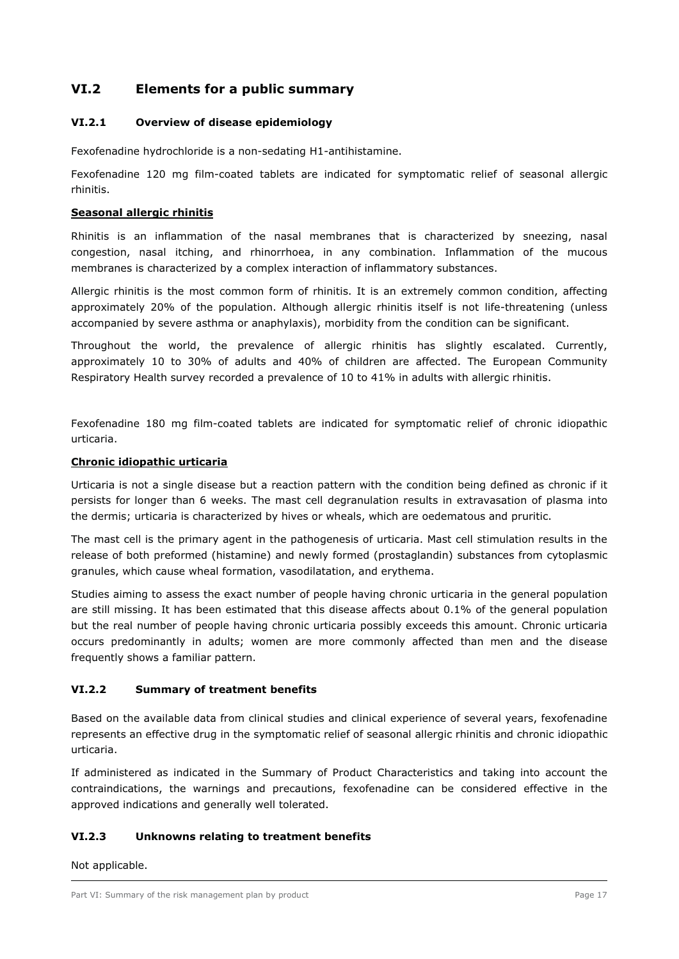# **VI.2 Elements for a public summary**

## **VI.2.1 Overview of disease epidemiology**

Fexofenadine hydrochloride is a non-sedating H1-antihistamine.

Fexofenadine 120 mg film-coated tablets are indicated for symptomatic relief of seasonal allergic rhinitis.

## **Seasonal allergic rhinitis**

Rhinitis is an inflammation of the nasal membranes that is characterized by sneezing, nasal congestion, nasal itching, and rhinorrhoea, in any combination. Inflammation of the mucous membranes is characterized by a complex interaction of inflammatory substances.

Allergic rhinitis is the most common form of rhinitis. It is an extremely common condition, affecting approximately 20% of the population. Although allergic rhinitis itself is not life-threatening (unless accompanied by severe asthma or anaphylaxis), morbidity from the condition can be significant.

Throughout the world, the prevalence of allergic rhinitis has slightly escalated. Currently, approximately 10 to 30% of adults and 40% of children are affected. The European Community Respiratory Health survey recorded a prevalence of 10 to 41% in adults with allergic rhinitis.

Fexofenadine 180 mg film-coated tablets are indicated for symptomatic relief of chronic idiopathic urticaria.

## **Chronic idiopathic urticaria**

Urticaria is not a single disease but a reaction pattern with the condition being defined as chronic if it persists for longer than 6 weeks. The mast cell degranulation results in extravasation of plasma into the dermis; urticaria is characterized by hives or wheals, which are oedematous and pruritic.

The mast cell is the primary agent in the pathogenesis of urticaria. Mast cell stimulation results in the release of both preformed (histamine) and newly formed (prostaglandin) substances from cytoplasmic granules, which cause wheal formation, vasodilatation, and erythema.

Studies aiming to assess the exact number of people having chronic urticaria in the general population are still missing. It has been estimated that this disease affects about 0.1% of the general population but the real number of people having chronic urticaria possibly exceeds this amount. Chronic urticaria occurs predominantly in adults; women are more commonly affected than men and the disease frequently shows a familiar pattern.

## **VI.2.2 Summary of treatment benefits**

Based on the available data from clinical studies and clinical experience of several years, fexofenadine represents an effective drug in the symptomatic relief of seasonal allergic rhinitis and chronic idiopathic urticaria.

If administered as indicated in the Summary of Product Characteristics and taking into account the contraindications, the warnings and precautions, fexofenadine can be considered effective in the approved indications and generally well tolerated.

## **VI.2.3 Unknowns relating to treatment benefits**

Not applicable.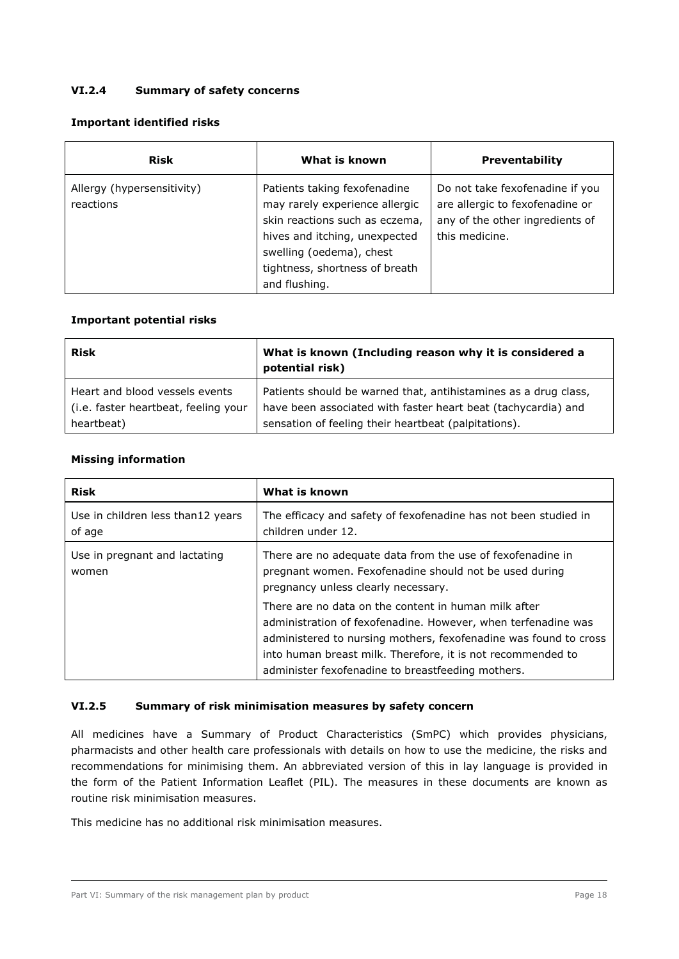## **VI.2.4 Summary of safety concerns**

## **Important identified risks**

| <b>Risk</b>                             | What is known                                                                                                                                                                                                    | <b>Preventability</b>                                                                                                   |
|-----------------------------------------|------------------------------------------------------------------------------------------------------------------------------------------------------------------------------------------------------------------|-------------------------------------------------------------------------------------------------------------------------|
| Allergy (hypersensitivity)<br>reactions | Patients taking fexofenadine<br>may rarely experience allergic<br>skin reactions such as eczema,<br>hives and itching, unexpected<br>swelling (oedema), chest<br>tightness, shortness of breath<br>and flushing. | Do not take fexofenadine if you<br>are allergic to fexofenadine or<br>any of the other ingredients of<br>this medicine. |

## **Important potential risks**

| <b>Risk</b>                          | What is known (Including reason why it is considered a<br>potential risk) |
|--------------------------------------|---------------------------------------------------------------------------|
| Heart and blood vessels events       | Patients should be warned that, antihistamines as a drug class,           |
| (i.e. faster heartbeat, feeling your | have been associated with faster heart beat (tachycardia) and             |
| heartbeat)                           | sensation of feeling their heartbeat (palpitations).                      |

## **Missing information**

| <b>Risk</b>                                 | What is known                                                                                                                                                                                                                                                                                                 |
|---------------------------------------------|---------------------------------------------------------------------------------------------------------------------------------------------------------------------------------------------------------------------------------------------------------------------------------------------------------------|
| Use in children less than12 years<br>of age | The efficacy and safety of fexofenadine has not been studied in<br>children under 12.                                                                                                                                                                                                                         |
| Use in pregnant and lactating<br>women      | There are no adequate data from the use of fexofenadine in<br>pregnant women. Fexofenadine should not be used during<br>pregnancy unless clearly necessary.                                                                                                                                                   |
|                                             | There are no data on the content in human milk after<br>administration of fexofenadine. However, when terfenadine was<br>administered to nursing mothers, fexofenadine was found to cross<br>into human breast milk. Therefore, it is not recommended to<br>administer fexofenadine to breastfeeding mothers. |

## **VI.2.5 Summary of risk minimisation measures by safety concern**

All medicines have a Summary of Product Characteristics (SmPC) which provides physicians, pharmacists and other health care professionals with details on how to use the medicine, the risks and recommendations for minimising them. An abbreviated version of this in lay language is provided in the form of the Patient Information Leaflet (PIL). The measures in these documents are known as routine risk minimisation measures.

This medicine has no additional risk minimisation measures.